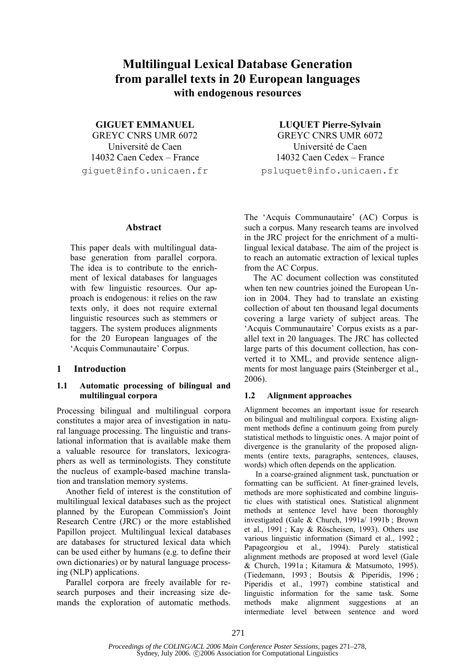# **Multilingual Lexical Database Generation from parallel texts in 20 European languages with endogenous resources**

**GIGUET EMMANUEL** 

GREYC CNRS UMR 6072 Université de Caen 14032 Caen Cedex – France giguet@info.unicaen.fr

#### **Abstract**

This paper deals with multilingual database generation from parallel corpora. The idea is to contribute to the enrichment of lexical databases for languages with few linguistic resources. Our approach is endogenous: it relies on the raw texts only, it does not require external linguistic resources such as stemmers or taggers. The system produces alignments for the 20 European languages of the 'Acquis Communautaire' Corpus.

## **1 Introduction**

# **1.1 Automatic processing of bilingual and multilingual corpora**

Processing bilingual and multilingual corpora constitutes a major area of investigation in natural language processing. The linguistic and translational information that is available make them a valuable resource for translators, lexicographers as well as terminologists. They constitute the nucleus of example-based machine translation and translation memory systems.

Another field of interest is the constitution of multilingual lexical databases such as the project planned by the European Commission's Joint Research Centre (JRC) or the more established Papillon project. Multilingual lexical databases are databases for structured lexical data which can be used either by humans (e.g. to define their own dictionaries) or by natural language processing (NLP) applications.

Parallel corpora are freely available for research purposes and their increasing size demands the exploration of automatic methods.

**LUQUET Pierre-Sylvain**  GREYC CNRS UMR 6072 Université de Caen 14032 Caen Cedex – France psluquet@info.unicaen.fr

The 'Acquis Communautaire' (AC) Corpus is such a corpus. Many research teams are involved in the JRC project for the enrichment of a multilingual lexical database. The aim of the project is to reach an automatic extraction of lexical tuples from the AC Corpus.

The AC document collection was constituted when ten new countries joined the European Union in 2004. They had to translate an existing collection of about ten thousand legal documents covering a large variety of subject areas. The 'Acquis Communautaire' Corpus exists as a parallel text in 20 languages. The JRC has collected large parts of this document collection, has converted it to XML, and provide sentence alignments for most language pairs (Steinberger et al., 2006).

## **1.2 Alignment approaches**

Alignment becomes an important issue for research on bilingual and multilingual corpora. Existing alignment methods define a continuum going from purely statistical methods to linguistic ones. A major point of divergence is the granularity of the proposed alignments (entire texts, paragraphs, sentences, clauses, words) which often depends on the application.

In a coarse-grained alignment task, punctuation or formatting can be sufficient. At finer-grained levels, methods are more sophisticated and combine linguistic clues with statistical ones. Statistical alignment methods at sentence level have been thoroughly investigated (Gale & Church, 1991a/ 1991b ; Brown et al., 1991 ; Kay & Röscheisen, 1993). Others use various linguistic information (Simard et al., 1992 ; Papageorgiou et al., 1994). Purely statistical alignment methods are proposed at word level (Gale & Church, 1991a ; Kitamura & Matsumoto, 1995). (Tiedemann, 1993 ; Boutsis & Piperidis, 1996 ; Piperidis et al., 1997) combine statistical and linguistic information for the same task. Some methods make alignment suggestions at an intermediate level between sentence and word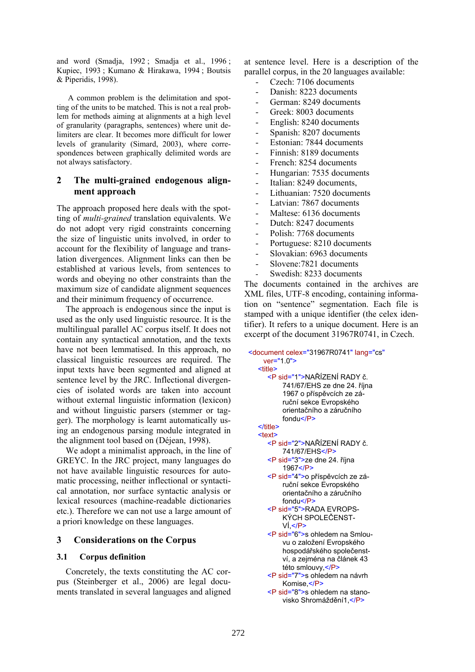and word (Smadja, 1992 ; Smadja et al., 1996 ; Kupiec, 1993 ; Kumano & Hirakawa, 1994 ; Boutsis & Piperidis, 1998).

A common problem is the delimitation and spotting of the units to be matched. This is not a real problem for methods aiming at alignments at a high level of granularity (paragraphs, sentences) where unit delimiters are clear. It becomes more difficult for lower levels of granularity (Simard, 2003), where correspondences between graphically delimited words are not always satisfactory.

# **2 The multi-grained endogenous alignment approach**

The approach proposed here deals with the spotting of *multi-grained* translation equivalents. We do not adopt very rigid constraints concerning the size of linguistic units involved, in order to account for the flexibility of language and translation divergences. Alignment links can then be established at various levels, from sentences to words and obeying no other constraints than the maximum size of candidate alignment sequences and their minimum frequency of occurrence.

The approach is endogenous since the input is used as the only used linguistic resource. It is the multilingual parallel AC corpus itself. It does not contain any syntactical annotation, and the texts have not been lemmatised. In this approach, no classical linguistic resources are required. The input texts have been segmented and aligned at sentence level by the JRC. Inflectional divergencies of isolated words are taken into account without external linguistic information (lexicon) and without linguistic parsers (stemmer or tagger). The morphology is learnt automatically using an endogenous parsing module integrated in the alignment tool based on (Déjean, 1998).

We adopt a minimalist approach, in the line of GREYC. In the JRC project, many languages do not have available linguistic resources for automatic processing, neither inflectional or syntactical annotation, nor surface syntactic analysis or lexical resources (machine-readable dictionaries etc.). Therefore we can not use a large amount of a priori knowledge on these languages.

# **3 Considerations on the Corpus**

## **3.1 Corpus definition**

Concretely, the texts constituting the AC corpus (Steinberger et al., 2006) are legal documents translated in several languages and aligned at sentence level. Here is a description of the parallel corpus, in the 20 languages available:

- Czech: 7106 documents
- Danish: 8223 documents
- German: 8249 documents
- Greek: 8003 documents
- English: 8240 documents
- Spanish: 8207 documents
- Estonian: 7844 documents
- Finnish: 8189 documents
- French: 8254 documents
- Hungarian: 7535 documents
- Italian: 8249 documents,
- Lithuanian: 7520 documents
- Latvian: 7867 documents
- Maltese: 6136 documents
- Dutch: 8247 documents
- Polish: 7768 documents
- Portuguese: 8210 documents
- Slovakian: 6963 documents
- Slovene:7821 documents
- Swedish: 8233 documents

The documents contained in the archives are XML files, UTF-8 encoding, containing information on "sentence" segmentation. Each file is stamped with a unique identifier (the celex identifier). It refers to a unique document. Here is an excerpt of the document 31967R0741, in Czech.

```
 <document celex="31967R0741" lang="cs"
    ver="1.0">
   <title>
     <P sid="1">NAŘÍZENÍ RADY č. 
          741/67/EHS ze dne 24. října 
          1967 o příspěvcích ze zá-
          ruční sekce Evropského 
          orientačního a záručního 
          fondu</P> 
  </title>
  <text>
     <P sid="2">NAŘÍZENÍ RADY č. 
          741/67/EHS</P> 
     <P sid="3">ze dne 24. října 
          1967</P> 
     <P sid="4">o příspěvcích ze zá-
          ruční sekce Evropského 
          orientačního a záručního 
          fondu</P> 
     <P sid="5">RADA EVROPS-
          KÝCH SPOLEČENST-
          VÍ, </P<P sid="6">s ohledem na Smlou-
          vu o založení Evropského 
          hospodářského společenst-
          ví, a zejména na článek 43 
          této smlouvy </P>
     <P sid="7">s ohledem na návrh 
          Komise,</P>
```
<P sid="8">s ohledem na stanovisko Shromáždění1,</P>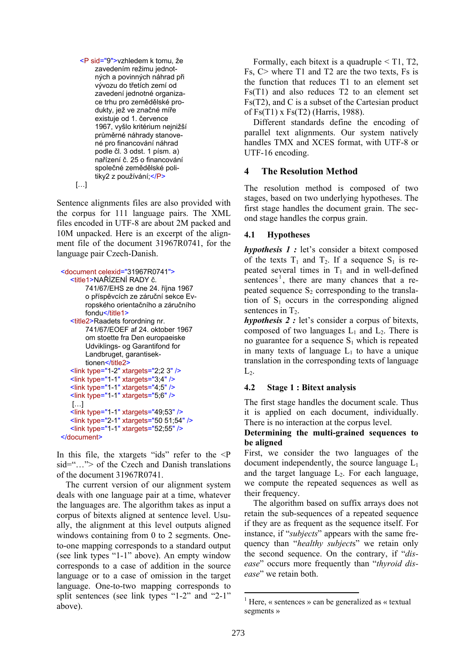<P sid="9">vzhledem k tomu, že zavedením režimu jednotných a povinných náhrad při vývozu do třetích zemí od zavedení jednotné organizace trhu pro zemědělské produkty, jež ve značné míře existuje od 1. července 1967, vyšlo kritérium nejnižší průměrné náhrady stanovené pro financování náhrad podle čl. 3 odst. 1 písm. a) nařízení č. 25 o financování společné zemědělské politiky2 z používání;</P>

[…]

Sentence alignments files are also provided with the corpus for 111 language pairs. The XML files encoded in UTF-8 are about 2M packed and 10M unpacked. Here is an excerpt of the alignment file of the document 31967R0741, for the language pair Czech-Danish.

```
 <document celexid="31967R0741">
   <title1>NAŘÍZENÍ RADY č. 
        741/67/EHS ze dne 24. října 1967 
        o příspěvcích ze záruční sekce Ev-
        ropského orientačního a záručního 
        fondu</title1>
   <title2>Raadets forordning nr. 
        741/67/EOEF af 24. oktober 1967 
        om stoette fra Den europaeiske 
        Udviklings- og Garantifond for 
        Landbruget, garantisek-
        tionen</title2>
   <link type="1-2" xtargets="2;2 3" /> 
   <link type="1-1" xtargets="3;4" /> 
   <link type="1-1" xtargets="4;5" /> 
   <link type="1-1" xtargets="5;6" /> 
   \lceil...]
    <link type="1-1" xtargets="49;53" /> 
   <link type="2-1" xtargets="50 51;54" /> 
   <link type="1-1" xtargets="52;55" /> 
</document>
```
In this file, the xtargets "ids" refer to the  $\leq P$  $sid = " "> of the Czech and Danish translations$ of the document 31967R0741.

The current version of our alignment system deals with one language pair at a time, whatever the languages are. The algorithm takes as input a corpus of bitexts aligned at sentence level. Usually, the alignment at this level outputs aligned windows containing from 0 to 2 segments. Oneto-one mapping corresponds to a standard output (see link types "1-1" above). An empty window corresponds to a case of addition in the source language or to a case of omission in the target language. One-to-two mapping corresponds to split sentences (see link types "1-2" and "2-1" above).

Formally, each bitext is a quadruple  $\leq$  T1, T2, Fs, C> where T1 and T2 are the two texts, Fs is the function that reduces T1 to an element set Fs(T1) and also reduces T2 to an element set Fs(T2), and C is a subset of the Cartesian product of Fs(T1) x Fs(T2) (Harris, 1988).

Different standards define the encoding of parallel text alignments. Our system natively handles TMX and XCES format, with UTF-8 or UTF-16 encoding.

# **4 The Resolution Method**

The resolution method is composed of two stages, based on two underlying hypotheses. The first stage handles the document grain. The second stage handles the corpus grain.

# **4.1 Hypotheses**

*hypothesis 1 :* let's consider a bitext composed of the texts  $T_1$  and  $T_2$ . If a sequence  $S_1$  is repeated several times in  $T_1$  and in well-defined sentences<sup>1</sup>, there are many chances that a repeated sequence  $S_2$  corresponding to the translation of  $S_1$  occurs in the corresponding aligned sentences in  $T<sub>2</sub>$ .

*hypothesis 2 :* let's consider a corpus of bitexts, composed of two languages  $L_1$  and  $L_2$ . There is no guarantee for a sequence  $S_1$  which is repeated in many texts of language  $L_1$  to have a unique translation in the corresponding texts of language  $L_2$ .

# **4.2 Stage 1 : Bitext analysis**

The first stage handles the document scale. Thus it is applied on each document, individually. There is no interaction at the corpus level.

# **Determining the multi-grained sequences to be aligned**

First, we consider the two languages of the document independently, the source language  $L_1$ and the target language  $L_2$ . For each language, we compute the repeated sequences as well as their frequency.

The algorithm based on suffix arrays does not retain the sub-sequences of a repeated sequence if they are as frequent as the sequence itself. For instance, if "*subjects*" appears with the same frequency than "*healthy subject*s" we retain only the second sequence. On the contrary, if "*disease*" occurs more frequently than "*thyroid disease*" we retain both.

<sup>&</sup>lt;sup>1</sup> Here, « sentences » can be generalized as « textual segments »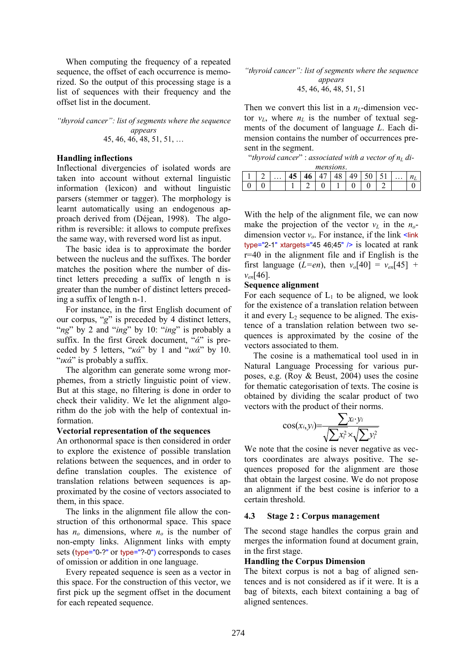When computing the frequency of a repeated sequence, the offset of each occurrence is memorized. So the output of this processing stage is a list of sequences with their frequency and the offset list in the document.

#### *"thyroid cancer": list of segments where the sequence appears*  45, 46, 46, 48, 51, 51, …

#### **Handling inflections**

Inflectional divergencies of isolated words are taken into account without external linguistic information (lexicon) and without linguistic parsers (stemmer or tagger). The morphology is learnt automatically using an endogenous approach derived from (Déjean, 1998). The algorithm is reversible: it allows to compute prefixes the same way, with reversed word list as input.

The basic idea is to approximate the border between the nucleus and the suffixes. The border matches the position where the number of distinct letters preceding a suffix of length n is greater than the number of distinct letters preceding a suffix of length n-1.

For instance, in the first English document of our corpus, "*g*" is preceded by 4 distinct letters, "*ng*" by 2 and "*ing*" by 10: "*ing*" is probably a suffix. In the first Greek document, "*ά*" is preceded by 5 letters, "*κά*" by 1 and "*ικά*" by 10. "*ικά*" is probably a suffix.

The algorithm can generate some wrong morphemes, from a strictly linguistic point of view. But at this stage, no filtering is done in order to check their validity. We let the alignment algorithm do the job with the help of contextual information.

#### **Vectorial representation of the sequences**

An orthonormal space is then considered in order to explore the existence of possible translation relations between the sequences, and in order to define translation couples. The existence of translation relations between sequences is approximated by the cosine of vectors associated to them, in this space.

The links in the alignment file allow the construction of this orthonormal space. This space has  $n<sub>o</sub>$  dimensions, where  $n<sub>o</sub>$  is the number of non-empty links. Alignment links with empty sets (type="0-?" or type="?-0") corresponds to cases of omission or addition in one language.

Every repeated sequence is seen as a vector in this space. For the construction of this vector, we first pick up the segment offset in the document for each repeated sequence.

*"thyroid cancer": list of segments where the sequence appears*  45, 46, 46, 48, 51, 51

Then we convert this list in a  $n<sub>L</sub>$ -dimension vector  $v_L$ , where  $n_L$  is the number of textual segments of the document of language *L*. Each dimension contains the number of occurrences present in the segment.

"thyroid cancer" : associated with a vector of  $n<sub>L</sub>$  di-

| mensions. |  |          |                  |    |   |    |   |        |   |                      |         |
|-----------|--|----------|------------------|----|---|----|---|--------|---|----------------------|---------|
|           |  | $\cdots$ | $\sqrt{2}$<br>1J | 10 |   | тυ |   | ↩<br>v | ັ | $\ddot{\phantom{0}}$ | 14<br>⊥ |
| ັ         |  |          |                  |    | ັ |    | U | ບ      |   |                      |         |

With the help of the alignment file, we can now make the projection of the vector  $v_l$  in the  $n_o$ dimension vector  $v_a$ . For instance, if the link  $\leq$ link type="2-1" xtargets="45 46;45"  $/$ > is located at rank r=40 in the alignment file and if English is the first language (*L*=*en*), then  $v_0[40] = v_{en}[45]$  + *ven*[46].

#### **Sequence alignment**

For each sequence of  $L_1$  to be aligned, we look for the existence of a translation relation between it and every  $L_2$  sequence to be aligned. The existence of a translation relation between two sequences is approximated by the cosine of the vectors associated to them.

The cosine is a mathematical tool used in in Natural Language Processing for various purposes, e.g. (Roy & Beust, 2004) uses the cosine for thematic categorisation of texts. The cosine is obtained by dividing the scalar product of two vectors with the product of their norms.

$$
\cos(x_i, y_i) = \frac{\sum x_i \cdot y_i}{\sqrt{\sum x_i^2} \times \sqrt{\sum y_i^2}}
$$

We note that the cosine is never negative as vectors coordinates are always positive. The sequences proposed for the alignment are those that obtain the largest cosine. We do not propose an alignment if the best cosine is inferior to a certain threshold.

## **4.3 Stage 2 : Corpus management**

The second stage handles the corpus grain and merges the information found at document grain, in the first stage.

## **Handling the Corpus Dimension**

The bitext corpus is not a bag of aligned sentences and is not considered as if it were. It is a bag of bitexts, each bitext containing a bag of aligned sentences.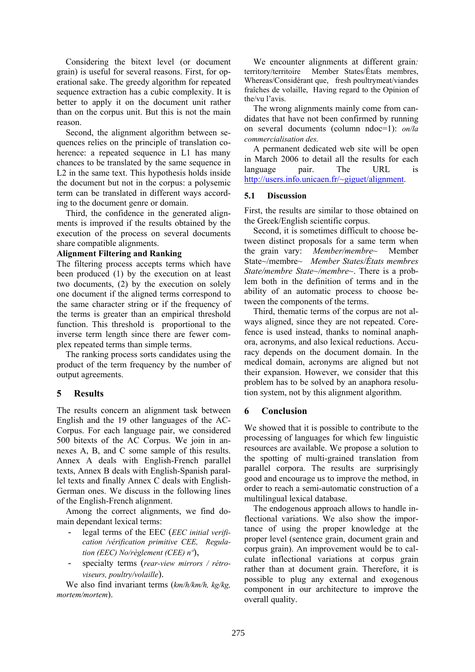Considering the bitext level (or document grain) is useful for several reasons. First, for operational sake. The greedy algorithm for repeated sequence extraction has a cubic complexity. It is better to apply it on the document unit rather than on the corpus unit. But this is not the main reason.

Second, the alignment algorithm between sequences relies on the principle of translation coherence: a repeated sequence in L1 has many chances to be translated by the same sequence in L2 in the same text. This hypothesis holds inside the document but not in the corpus: a polysemic term can be translated in different ways according to the document genre or domain.

Third, the confidence in the generated alignments is improved if the results obtained by the execution of the process on several documents share compatible alignments.

#### **Alignment Filtering and Ranking**

The filtering process accepts terms which have been produced (1) by the execution on at least two documents, (2) by the execution on solely one document if the aligned terms correspond to the same character string or if the frequency of the terms is greater than an empirical threshold function. This threshold is proportional to the inverse term length since there are fewer complex repeated terms than simple terms.

The ranking process sorts candidates using the product of the term frequency by the number of output agreements.

# **5 Results**

The results concern an alignment task between English and the 19 other languages of the AC-Corpus. For each language pair, we considered 500 bitexts of the AC Corpus. We join in annexes A, B, and C some sample of this results. Annex A deals with English-French parallel texts, Annex B deals with English-Spanish parallel texts and finally Annex C deals with English-German ones. We discuss in the following lines of the English-French alignment.

Among the correct alignments, we find domain dependant lexical terms:

- legal terms of the EEC (*EEC initial verification /vérification primitive CEE, Regulation (EEC) No/règlement (CEE) nº*),
- specialty terms (*rear-view mirrors / rétroviseurs, poultry/volaille*).

We also find invariant terms (*km/h/km/h, kg/kg, mortem/mortem*).

We encounter alignments at different grain*:* territory/territoire Member States/États membres, Whereas/Considérant que, fresh poultrymeat/viandes fraîches de volaille, Having regard to the Opinion of the/vu l'avis.

The wrong alignments mainly come from candidates that have not been confirmed by running on several documents (column ndoc=1): *on/la commercialisation des.* 

A permanent dedicated web site will be open in March 2006 to detail all the results for each language pair. The URL is http://users.info.unicaen.fr/~giguet/alignment.

## **5.1 Discussion**

First, the results are similar to those obtained on the Greek/English scientific corpus.

Second, it is sometimes difficult to choose between distinct proposals for a same term when the grain vary: *Member/membre~* Member State~/membre*~ Member States/États membres State/membre State~/membre~*. There is a problem both in the definition of terms and in the ability of an automatic process to choose between the components of the terms.

Third, thematic terms of the corpus are not always aligned, since they are not repeated. Corefence is used instead, thanks to nominal anaphora, acronyms, and also lexical reductions. Accuracy depends on the document domain. In the medical domain, acronyms are aligned but not their expansion. However, we consider that this problem has to be solved by an anaphora resolution system, not by this alignment algorithm.

# **6 Conclusion**

We showed that it is possible to contribute to the processing of languages for which few linguistic resources are available. We propose a solution to the spotting of multi-grained translation from parallel corpora. The results are surprisingly good and encourage us to improve the method, in order to reach a semi-automatic construction of a multilingual lexical database.

The endogenous approach allows to handle inflectional variations. We also show the importance of using the proper knowledge at the proper level (sentence grain, document grain and corpus grain). An improvement would be to calculate inflectional variations at corpus grain rather than at document grain. Therefore, it is possible to plug any external and exogenous component in our architecture to improve the overall quality.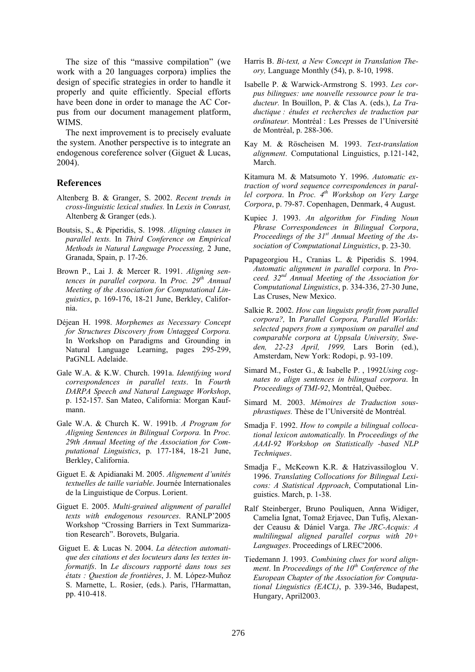The size of this "massive compilation" (we work with a 20 languages corpora) implies the design of specific strategies in order to handle it properly and quite efficiently. Special efforts have been done in order to manage the AC Corpus from our document management platform, WIMS.

The next improvement is to precisely evaluate the system. Another perspective is to integrate an endogenous coreference solver (Giguet & Lucas, 2004).

#### **References**

- Altenberg B. & Granger, S. 2002. *Recent trends in cross-linguistic lexical studies.* In *Lexis in Conrast,*  Altenberg & Granger (eds.).
- Boutsis, S., & Piperidis, S. 1998. *Aligning clauses in parallel texts.* In *Third Conference on Empirical Methods in Natural Language Processing,* 2 June, Granada, Spain, p. 17-26.
- Brown P., Lai J. & Mercer R. 1991. *Aligning sentences in parallel corpora*. In *Proc. 29th Annual Meeting of the Association for Computational Linguistics*, p. 169-176, 18-21 June, Berkley, California.
- Déjean H. 1998. *Morphemes as Necessary Concept for Structures Discovery from Untagged Corpora.*  In Workshop on Paradigms and Grounding in Natural Language Learning, pages 295-299, PaGNLL Adelaide.
- Gale W.A. & K.W. Church. 1991a. *Identifying word correspondences in parallel texts*. In *Fourth DARPA Speech and Natural Language Workshop*, p. 152-157. San Mateo, California: Morgan Kaufmann.
- Gale W.A. & Church K. W. 1991b. *A Program for Aligning Sentences in Bilingual Corpora.* In *Proc. 29th Annual Meeting of the Association for Computational Linguistics*, p. 177-184, 18-21 June, Berkley, California.
- Giguet E. & Apidianaki M. 2005. *Alignement d'unités textuelles de taille variable*. Journée Internationales de la Linguistique de Corpus. Lorient.
- Giguet E. 2005. *Multi-grained alignment of parallel texts with endogenous resources*. RANLP'2005 Workshop "Crossing Barriers in Text Summarization Research". Borovets, Bulgaria.
- Giguet E. & Lucas N. 2004. *La détection automatique des citations et des locuteurs dans les textes informatifs*. In *Le discours rapporté dans tous ses états : Question de frontières*, J. M. López-Muñoz S. Marnette, L. Rosier, (eds.). Paris, l'Harmattan, pp. 410-418.
- Harris B. *Bi-text, a New Concept in Translation Theory,* Language Monthly (54), p. 8-10, 1998.
- Isabelle P. & Warwick-Armstrong S. 1993. *Les corpus bilingues: une nouvelle ressource pour le traducteur.* In Bouillon, P. & Clas A. (eds.), *La Traductique : études et recherches de traduction par ordinateur.* Montréal : Les Presses de l'Université de Montréal, p. 288-306.
- Kay M. & Röscheisen M. 1993. *Text*-*translation alignment*. Computational Linguistics, p.121-142, March.

Kitamura M. & Matsumoto Y. 1996. *Automatic extraction of word sequence correspondences in parallel corpora*. In *Proc. 4th Workshop on Very Large Corpora*, p. 79-87. Copenhagen, Denmark, 4 August.

- Kupiec J. 1993. *An algorithm for Finding Noun Phrase Correspondences in Bilingual Corpora*, *Proceedings of the 31st Annual Meeting of the Association of Computational Linguistics*, p. 23-30.
- Papageorgiou H., Cranias L. & Piperidis S. 1994. *Automatic alignment in parallel corpora*. In *Proceed. 32nd Annual Meeting of the Association for Computational Linguistics*, p. 334-336, 27-30 June, Las Cruses, New Mexico.
- Salkie R. 2002. *How can linguists profit from parallel corpora?,* In *Parallel Corpora, Parallel Worlds: selected papers from a symposium on parallel and comparable corpora at Uppsala University, Sweden, 22-23 April, 1999,* Lars Borin (ed.), Amsterdam, New York: Rodopi, p. 93-109.
- Simard M., Foster G., & Isabelle P. , 1992*Using cognates to align sentences in bilingual corpora*. In *Proceedings of TMI-92*, Montréal, Québec.
- Simard M. 2003. *Mémoires de Traduction sousphrastiques.* Thèse de l'Université de Montréal*.*
- Smadja F. 1992. *How to compile a bilingual collocational lexicon automatically.* In *Proceedings of the AAAI-92 Workshop on Statistically -based NLP Techniques*.
- Smadja F., McKeown K.R. & Hatzivassiloglou V. 1996. *Translating Collocations for Bilingual Lexicons: A Statistical Approach*, Computational Linguistics. March, p. 1-38.
- Ralf Steinberger, Bruno Pouliquen, Anna Widiger, Camelia Ignat, Tomaž Erjavec, Dan Tufiş, Alexander Ceausu & Dániel Varga. *The JRC-Acquis: A multilingual aligned parallel corpus with 20+ Languages*. Proceedings of LREC'2006.
- Tiedemann J. 1993. *Combining clues for word alignment*. In *Proceedings of the 10th Conference of the European Chapter of the Association for Computational Linguistics (EACL)*, p. 339-346, Budapest, Hungary, April2003.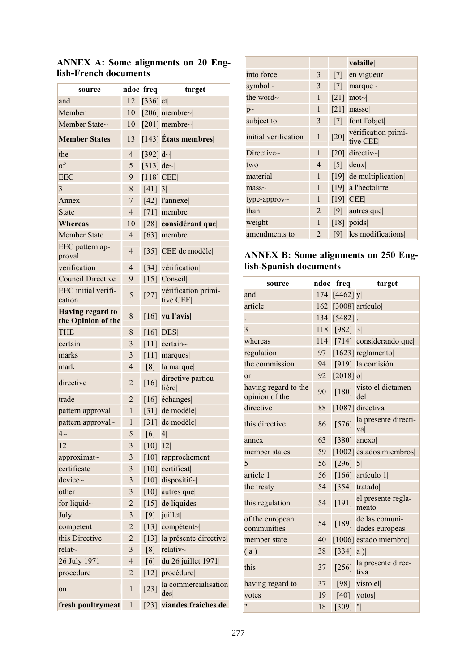| source                                        |                | ndoc freq          | target                          |
|-----------------------------------------------|----------------|--------------------|---------------------------------|
| and                                           | 12             | [336] $et$ ]       |                                 |
| Member                                        | 10             |                    | [206] membre~ $ $               |
| Member State~                                 | 10             |                    | [201] membre~ $ $               |
| <b>Member States</b>                          | 13             |                    | $[143]$ Etats membres           |
| the                                           | $\overline{4}$ | [392] $d$ ~        |                                 |
| of                                            | 5              | [313] de~ $ $      |                                 |
| <b>EEC</b>                                    | 9              |                    | $[118]$ CEE                     |
| 3                                             | 8              | $[41]$ 3           |                                 |
| Annex                                         | 7              |                    | $[42]$ l'annexe                 |
| State                                         | 4              |                    | $[71]$ membre                   |
| Whereas                                       | 10             |                    | [28] considérant que            |
| Member State                                  | 4              |                    | $[63]$ membre                   |
| EEC pattern ap-<br>proval                     | 4              |                    | [35] CEE de modèle              |
| verification                                  | $\overline{4}$ |                    | [34] vérification               |
| <b>Council Directive</b>                      | 9              |                    | $[15]$ Conseil                  |
| EEC initial verifi-<br>cation                 | 5              | $[27]$             | vérification primi-<br>tive CEE |
| <b>Having regard to</b><br>the Opinion of the | 8              |                    | $\left[16\right]$ vu l'avis     |
| <b>THE</b>                                    | 8              |                    | $[16]$ DES                      |
| certain                                       | 3              |                    | $[11]$ certain~                 |
| marks                                         | 3              |                    | $\lceil 11 \rceil$ marques      |
| mark                                          | 4              |                    | $[8]$ la marque                 |
| directive                                     | $\overline{2}$ | $[16]$             | directive particu-<br>lière     |
| trade                                         | $\overline{2}$ |                    | [16] échanges                   |
| pattern approval                              | $\mathbf{1}$   |                    | [31] de modèle                  |
| pattern approval~                             | 1              |                    | [31] de modèle                  |
| $4-$                                          | 5              | [6]                | 4 <sup>1</sup>                  |
| 12                                            | 3              | [10]               | 12                              |
| approximat~                                   | 3              |                    | [10] rapprochement              |
| certificate                                   | 3              |                    | [10] certificat                 |
| device~                                       | 3              | $\lceil 10 \rceil$ | dispositif~                     |
| other                                         | 3              |                    | [10] autres que                 |
| for liquid $\sim$                             | 2              | [15]               | de liquides                     |
| July                                          | 3              | [9]                | juillet                         |
| competent                                     | 2              | [13]               | compétent~                      |
| this Directive                                | $\overline{2}$ | $\lceil 13 \rceil$ | la présente directive           |
| relat $\sim$                                  | 3              | [8]                | relativ $\sim$                  |
| 26 July 1971                                  | $\overline{4}$ | [6]                | du 26 juillet 1971              |
| procedure                                     | $\overline{2}$ |                    | [12] procédure                  |
| on                                            | $\mathbf{1}$   | $[23]$             | la commercialisation<br>des     |
| fresh poultrymeat                             | $\mathbf{1}$   | $[23]$             | viandes fraîches de             |

# **ANNEX A: Some alignments on 20 English-French documents**

|                      |                |                    | volaille                             |
|----------------------|----------------|--------------------|--------------------------------------|
| into force           | 3              |                    | $[7]$ en vigueur                     |
| symbol $\sim$        | 3              |                    | [7] marque~ $\vert$                  |
| the word~            | 1              | $\lceil 21 \rceil$ | $\text{mot}$                         |
| $p\sim$              | 1              |                    | $[21]$ masse                         |
| subject to           | 3              |                    | [7] font l'objet                     |
| initial verification | 1              |                    | [20] vérification primi-<br>tive CEE |
| Directive $\sim$     | $\mathbf{1}$   |                    | [20] directiv~                       |
| two                  | 4              |                    | $[5]$ deux                           |
| material             | 1              |                    | [19] de multiplication               |
| $mass-$              | 1              |                    | [19] à l'hectolitre                  |
| type-approv~         | 1              |                    | $[19]$ CEE                           |
| than                 | 2              |                    | $[9]$ autres que                     |
| weight               | 1              |                    | $[18]$ poids                         |
| amendments to        | $\overline{2}$ |                    | [9] les modifications                |

# **ANNEX B: Some alignments on 250 English-Spanish documents**

| source                                 |     | ndoc freq     | target                           |
|----------------------------------------|-----|---------------|----------------------------------|
| and                                    |     | 174 [4462] yl |                                  |
| article                                | 162 |               | $[3008]$ articulo                |
|                                        |     | 134 [5482].   |                                  |
| 3                                      | 118 | $[982]$ 3     |                                  |
| whereas                                |     |               | 114 [714] considerando que       |
| regulation                             | 97  |               | $[1623]$ reglamento              |
| the commission                         | 94  |               | [919] la comisión                |
| or                                     | 92  | $[2018]$ o    |                                  |
| having regard to the<br>opinion of the | 90  | $[180]$       | visto el dictamen<br>del         |
| directive                              | 88  |               | [1087] directival                |
| this directive                         | 86  | [576]         | la presente directi-<br>val      |
| annex                                  | 63  |               | [380] anexo                      |
| member states                          | 59  |               | [1002] estados miembros          |
| 5                                      | 56  | $[296]$ 5     |                                  |
| article 1                              | 56  |               | [166] artículo 1]                |
| the treaty                             | 54  |               | $[354]$ tratado                  |
| this regulation                        | 54  | [191]         | el presente regla-<br>mento      |
| of the european<br>communities         | 54  | [189]         | de las comuni-<br>dades europeas |
| member state                           | 40  |               | [1006] estado miembro            |
| (a)                                    | 38  | [334]         | a)                               |
| this                                   | 37  | $[256]$       | la presente direc-<br>tiva       |
| having regard to                       | 37  | [98]          | visto el                         |
| votes                                  | 19  | [40]          | votos                            |
| $^{\prime}$                            | 18  | [309]         | "                                |